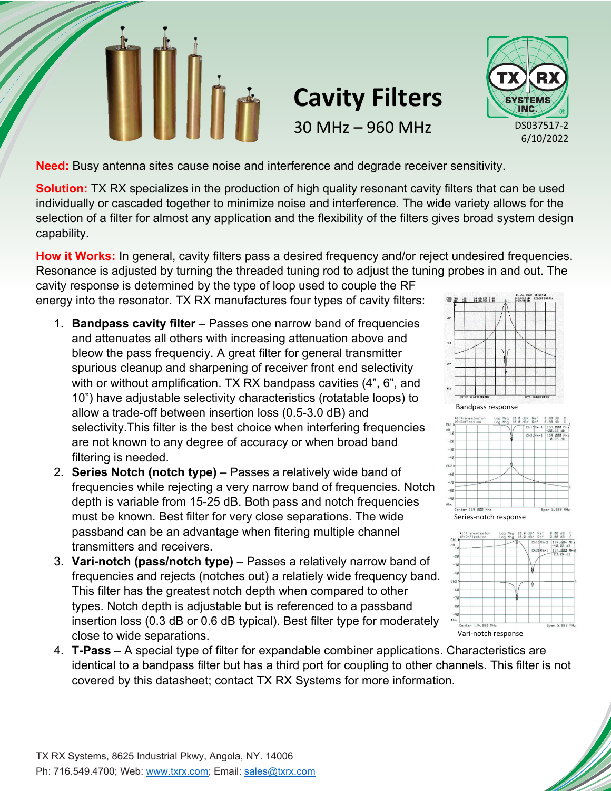

## **Cavity Filters** 30 MHz – 960 MHz



**Need:** Busy antenna sites cause noise and interference and degrade receiver sensitivity.

**Solution:** TX RX specializes in the production of high quality resonant cavity filters that can be used individually or cascaded together to minimize noise and interference. The wide variety allows for the selection of a filter for almost any application and the flexibility of the filters gives broad system design capability.

**How it Works:** In general, cavity filters pass a desired frequency and/or reject undesired frequencies. Resonance is adjusted by turning the threaded tuning rod to adjust the tuning probes in and out. The

cavity response is determined by the type of loop used to couple the RF energy into the resonator. TX RX manufactures four types of cavity filters:

- 1. **Bandpass cavity filter** Passes one narrow band of frequencies and attenuates all others with increasing attenuation above and bleow the pass frequenciy. A great filter for general transmitter spurious cleanup and sharpening of receiver front end selectivity with or without amplification. TX RX bandpass cavities (4", 6", and 10") have adjustable selectivity characteristics (rotatable loops) to allow a trade-off between insertion loss (0.5-3.0 dB) and selectivity.This filter is the best choice when interfering frequencies are not known to any degree of accuracy or when broad band filtering is needed.
- 2. **Series Notch (notch type)**  Passes a relatively wide band of frequencies while rejecting a very narrow band of frequencies. Notch depth is variable from 15-25 dB. Both pass and notch frequencies must be known. Best filter for very close separations. The wide passband can be an advantage when fitering multiple channel transmitters and receivers.
- 3. **Vari-notch (pass/notch type)** Passes a relatively narrow band of frequencies and rejects (notches out) a relatiely wide frequency band. This filter has the greatest notch depth when compared to other types. Notch depth is adjustable but is referenced to a passband insertion loss (0.3 dB or 0.6 dB typical). Best filter type for moderately close to wide separations.





4. **T-Pass** – A special type of filter for expandable combiner applications. Characteristics are identical to a bandpass filter but has a third port for coupling to other channels. This filter is not covered by this datasheet; contact TX RX Systems for more information.